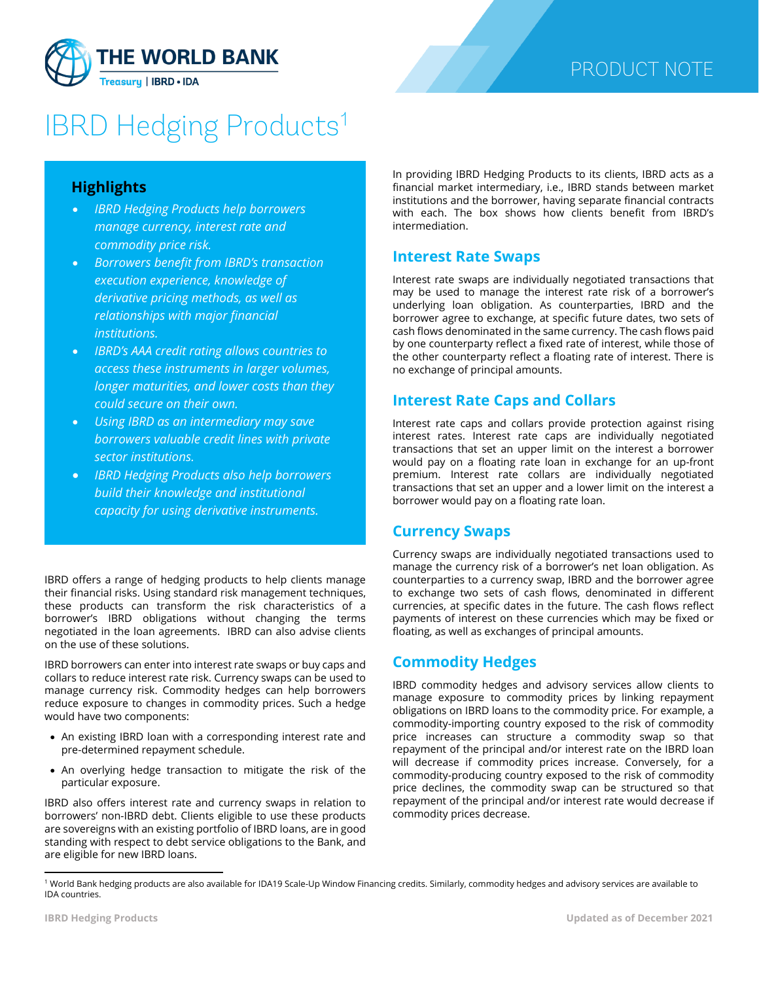

# **IBRD Hedging Products<sup>[1](#page-0-0)</sup>**

#### **Highlights**

- *IBRD Hedging Products help borrowers manage currency, interest rate and commodity price risk.*
- *Borrowers benefit from IBRD's transaction execution experience, knowledge of derivative pricing methods, as well as relationships with major financial institutions.*
- *IBRD's AAA credit rating allows countries to access these instruments in larger volumes, longer maturities, and lower costs than they could secure on their own.*
- *Using IBRD as an intermediary may save borrowers valuable credit lines with private sector institutions.*
- *IBRD Hedging Products also help borrowers build their knowledge and institutional capacity for using derivative instruments.*

IBRD offers a range of hedging products to help clients manage their financial risks. Using standard risk management techniques, these products can transform the risk characteristics of a borrower's IBRD obligations without changing the terms negotiated in the loan agreements. IBRD can also advise clients on the use of these solutions.

IBRD borrowers can enter into interest rate swaps or buy caps and collars to reduce interest rate risk. Currency swaps can be used to manage currency risk. Commodity hedges can help borrowers reduce exposure to changes in commodity prices. Such a hedge would have two components:

- An existing IBRD loan with a corresponding interest rate and pre-determined repayment schedule.
- An overlying hedge transaction to mitigate the risk of the particular exposure.

IBRD also offers interest rate and currency swaps in relation to borrowers' non-IBRD debt. Clients eligible to use these products are sovereigns with an existing portfolio of IBRD loans, are in good standing with respect to debt service obligations to the Bank, and are eligible for new IBRD loans.

In providing IBRD Hedging Products to its clients, IBRD acts as a financial market intermediary, i.e., IBRD stands between market institutions and the borrower, having separate financial contracts with each. The box shows how clients benefit from IBRD's intermediation.

#### **Interest Rate Swaps**

Interest rate swaps are individually negotiated transactions that may be used to manage the interest rate risk of a borrower's underlying loan obligation. As counterparties, IBRD and the borrower agree to exchange, at specific future dates, two sets of cash flows denominated in the same currency. The cash flows paid by one counterparty reflect a fixed rate of interest, while those of the other counterparty reflect a floating rate of interest. There is no exchange of principal amounts.

#### **Interest Rate Caps and Collars**

Interest rate caps and collars provide protection against rising interest rates. Interest rate caps are individually negotiated transactions that set an upper limit on the interest a borrower would pay on a floating rate loan in exchange for an up-front premium. Interest rate collars are individually negotiated transactions that set an upper and a lower limit on the interest a borrower would pay on a floating rate loan.

#### **Currency Swaps**

Currency swaps are individually negotiated transactions used to manage the currency risk of a borrower's net loan obligation. As counterparties to a currency swap, IBRD and the borrower agree to exchange two sets of cash flows, denominated in different currencies, at specific dates in the future. The cash flows reflect payments of interest on these currencies which may be fixed or floating, as well as exchanges of principal amounts.

### **Commodity Hedges**

IBRD commodity hedges and advisory services allow clients to manage exposure to commodity prices by linking repayment obligations on IBRD loans to the commodity price. For example, a commodity-importing country exposed to the risk of commodity price increases can structure a commodity swap so that repayment of the principal and/or interest rate on the IBRD loan will decrease if commodity prices increase. Conversely, for a commodity-producing country exposed to the risk of commodity price declines, the commodity swap can be structured so that repayment of the principal and/or interest rate would decrease if commodity prices decrease.

<span id="page-0-0"></span><sup>1</sup> World Bank hedging products are also available for IDA19 Scale-Up Window Financing credits. Similarly, commodity hedges and advisory services are available to IDA countries.